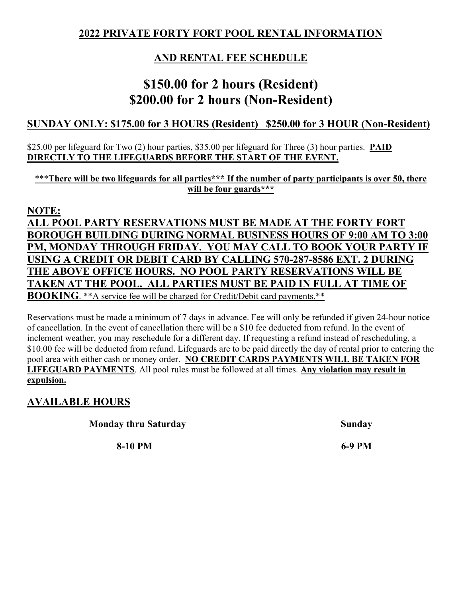#### **2022 PRIVATE FORTY FORT POOL RENTAL INFORMATION**

### **AND RENTAL FEE SCHEDULE**

### **\$150.00 for 2 hours (Resident) \$200.00 for 2 hours (Non-Resident)**

#### **SUNDAY ONLY: \$175.00 for 3 HOURS (Resident) \$250.00 for 3 HOUR (Non-Resident)**

#### \$25.00 per lifeguard for Two (2) hour parties, \$35.00 per lifeguard for Three (3) hour parties. **PAID DIRECTLY TO THE LIFEGUARDS BEFORE THE START OF THE EVENT.**

\*\*\***There will be two lifeguards for all parties\*\*\* If the number of party participants is over 50, there will be four guards\*\*\***

#### **NOTE:**

**ALL POOL PARTY RESERVATIONS MUST BE MADE AT THE FORTY FORT BOROUGH BUILDING DURING NORMAL BUSINESS HOURS OF 9:00 AM TO 3:00 PM, MONDAY THROUGH FRIDAY. YOU MAY CALL TO BOOK YOUR PARTY IF USING A CREDIT OR DEBIT CARD BY CALLING 570-287-8586 EXT. 2 DURING THE ABOVE OFFICE HOURS. NO POOL PARTY RESERVATIONS WILL BE TAKEN AT THE POOL. ALL PARTIES MUST BE PAID IN FULL AT TIME OF BOOKING.** \*\*A service fee will be charged for Credit/Debit card payments. \*\*

Reservations must be made a minimum of 7 days in advance. Fee will only be refunded if given 24-hour notice of cancellation. In the event of cancellation there will be a \$10 fee deducted from refund. In the event of inclement weather, you may reschedule for a different day. If requesting a refund instead of rescheduling, a \$10.00 fee will be deducted from refund. Lifeguards are to be paid directly the day of rental prior to entering the pool area with either cash or money order. **NO CREDIT CARDS PAYMENTS WILL BE TAKEN FOR LIFEGUARD PAYMENTS**. All pool rules must be followed at all times. **Any violation may result in expulsion.**

### **AVAILABLE HOURS**

**Monday thru Saturday Sunday Sunday** 

**8-10 PM 6-9 PM**